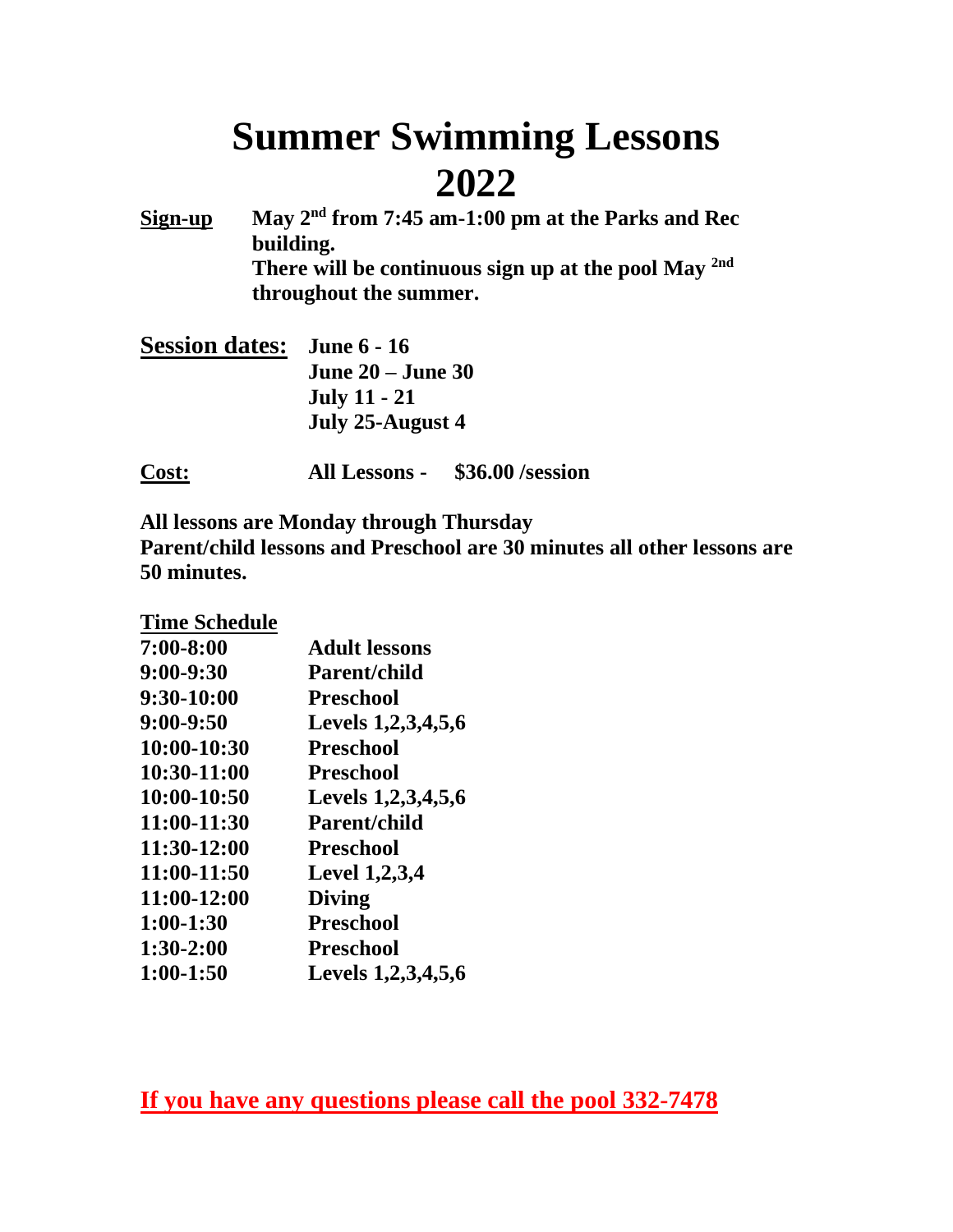# **Summer Swimming Lessons 2022**

**Sign-up May 2nd from 7:45 am-1:00 pm at the Parks and Rec building. There will be continuous sign up at the pool May 2nd throughout the summer.**

**Session dates: June 6 - 16 June 20 – June 30 July 11 - 21 July 25-August 4**

**Cost: All Lessons - \$36.00 /session**

**All lessons are Monday through Thursday Parent/child lessons and Preschool are 30 minutes all other lessons are 50 minutes.**

**Time Schedule**

| $7:00 - 8:00$ | <b>Adult lessons</b> |  |  |
|---------------|----------------------|--|--|
| $9:00-9:30$   | <b>Parent/child</b>  |  |  |
| 9:30-10:00    | <b>Preschool</b>     |  |  |
| $9:00 - 9:50$ | Levels 1,2,3,4,5,6   |  |  |
| 10:00-10:30   | <b>Preschool</b>     |  |  |
| 10:30-11:00   | <b>Preschool</b>     |  |  |
| 10:00-10:50   | Levels 1,2,3,4,5,6   |  |  |
| 11:00-11:30   | <b>Parent/child</b>  |  |  |
| 11:30-12:00   | <b>Preschool</b>     |  |  |
| 11:00-11:50   | <b>Level 1,2,3,4</b> |  |  |
| 11:00-12:00   | <b>Diving</b>        |  |  |
| $1:00-1:30$   | <b>Preschool</b>     |  |  |
| $1:30-2:00$   | <b>Preschool</b>     |  |  |
| $1:00-1:50$   | Levels 1,2,3,4,5,6   |  |  |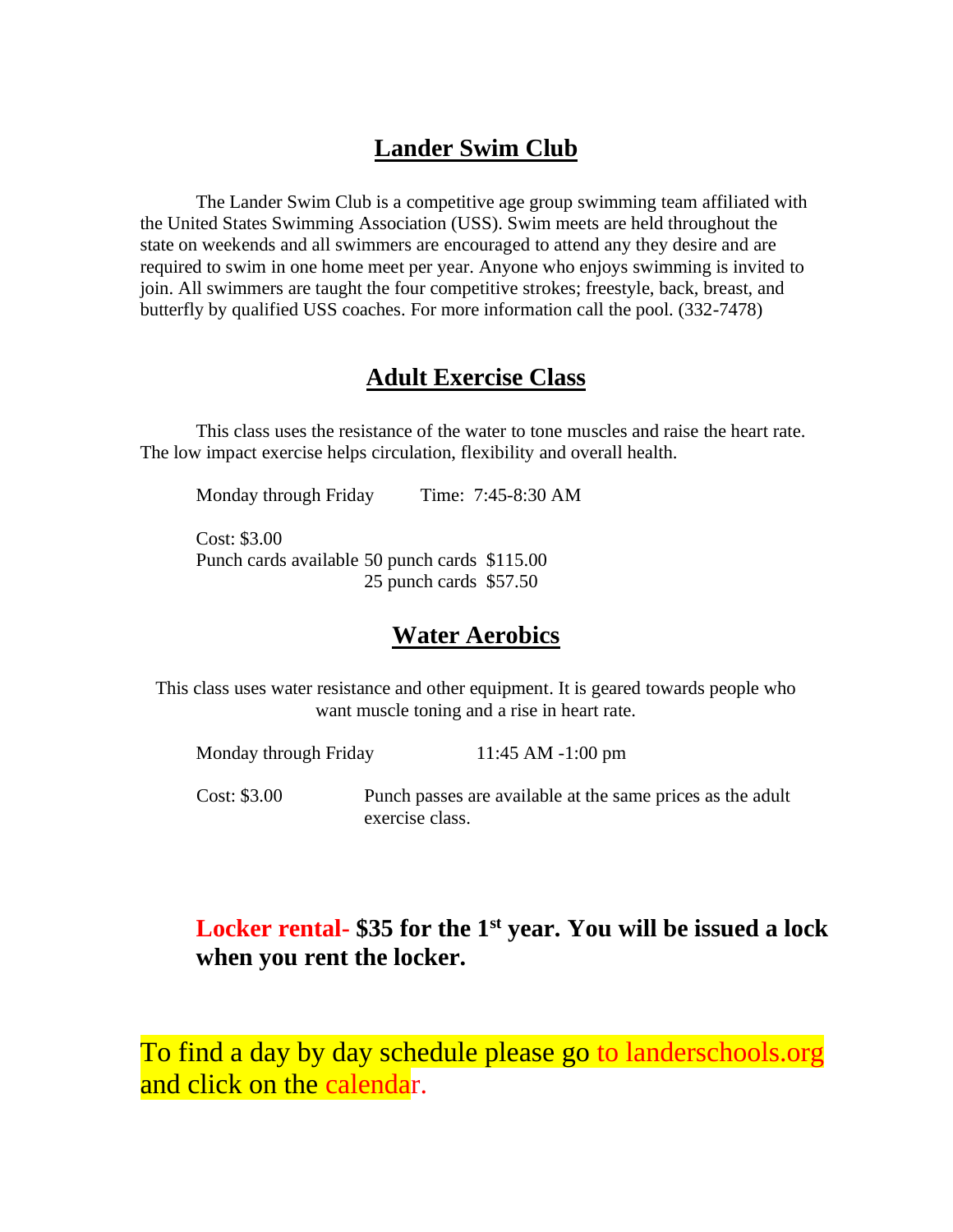#### **Lander Swim Club**

The Lander Swim Club is a competitive age group swimming team affiliated with the United States Swimming Association (USS). Swim meets are held throughout the state on weekends and all swimmers are encouraged to attend any they desire and are required to swim in one home meet per year. Anyone who enjoys swimming is invited to join. All swimmers are taught the four competitive strokes; freestyle, back, breast, and butterfly by qualified USS coaches. For more information call the pool. (332-7478)

#### **Adult Exercise Class**

This class uses the resistance of the water to tone muscles and raise the heart rate. The low impact exercise helps circulation, flexibility and overall health.

Monday through Friday Time: 7:45-8:30 AM

Cost: \$3.00 Punch cards available 50 punch cards \$115.00 25 punch cards \$57.50

#### **Water Aerobics**

This class uses water resistance and other equipment. It is geared towards people who want muscle toning and a rise in heart rate.

| Monday through Friday | 11:45 AM $-1:00 \text{ pm}$                                                  |  |  |
|-----------------------|------------------------------------------------------------------------------|--|--|
| Cost: \$3.00          | Punch passes are available at the same prices as the adult<br>exercise class |  |  |

## **Locker rental- \$35 for the 1st year. You will be issued a lock when you rent the locker.**

To find a day by day schedule please go to landerschools.org and click on the calendar.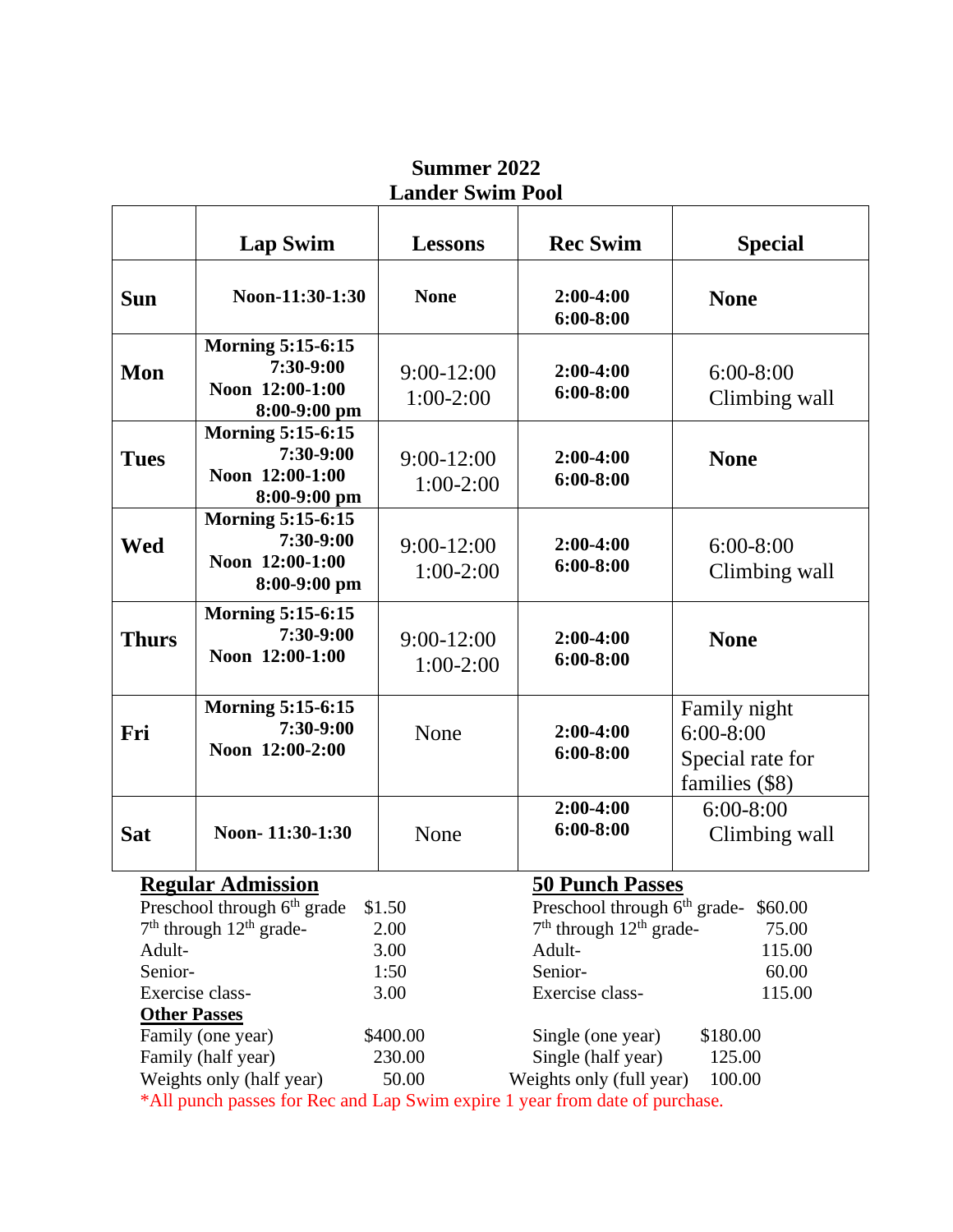| Noon-11:30-1:30<br><b>Morning 5:15-6:15</b><br>7:30-9:00<br>Noon 12:00-1:00                                                                                      | <b>None</b>                 | $2:00-4:00$<br>$6:00 - 8:00$                                                                         | <b>None</b>                                                                                                                                                                                                                             |
|------------------------------------------------------------------------------------------------------------------------------------------------------------------|-----------------------------|------------------------------------------------------------------------------------------------------|-----------------------------------------------------------------------------------------------------------------------------------------------------------------------------------------------------------------------------------------|
|                                                                                                                                                                  |                             |                                                                                                      |                                                                                                                                                                                                                                         |
| $8:00-9:00$ pm                                                                                                                                                   | $9:00-12:00$<br>$1:00-2:00$ | $2:00-4:00$<br>$6:00 - 8:00$                                                                         | $6:00-8:00$<br>Climbing wall                                                                                                                                                                                                            |
| <b>Morning 5:15-6:15</b><br>7:30-9:00<br>Noon 12:00-1:00<br>8:00-9:00 pm                                                                                         | $9:00-12:00$<br>$1:00-2:00$ | $2:00-4:00$<br>$6:00 - 8:00$                                                                         | <b>None</b>                                                                                                                                                                                                                             |
| <b>Morning 5:15-6:15</b><br>7:30-9:00<br>Noon 12:00-1:00<br>$8:00-9:00$ pm                                                                                       | $9:00-12:00$<br>$1:00-2:00$ | $2:00-4:00$<br>$6:00 - 8:00$                                                                         | $6:00-8:00$<br>Climbing wall                                                                                                                                                                                                            |
| <b>Morning 5:15-6:15</b><br>$7:30-9:00$<br>Noon 12:00-1:00                                                                                                       | $9:00-12:00$<br>$1:00-2:00$ | $2:00-4:00$<br>$6:00 - 8:00$                                                                         | <b>None</b>                                                                                                                                                                                                                             |
| <b>Morning 5:15-6:15</b><br>7:30-9:00<br>Noon 12:00-2:00                                                                                                         | None                        | $2:00-4:00$<br>$6:00 - 8:00$                                                                         | Family night<br>$6:00-8:00$<br>Special rate for<br>families (\$8)                                                                                                                                                                       |
| Noon-11:30-1:30                                                                                                                                                  | None                        | $2:00-4:00$<br>$6:00 - 8:00$                                                                         | $6:00-8:00$<br>Climbing wall                                                                                                                                                                                                            |
| <b>Regular Admission</b><br>7 <sup>th</sup> through 12 <sup>th</sup> grade-<br>Exercise class-<br><b>Other Passes</b><br>Family (one year)<br>Family (half year) | 50.00                       | Adult-<br>Senior-<br>Exercise class-<br>Single (one year)<br>Single (half year)                      | 75.00<br>115.00<br>60.00<br>115.00<br>\$180.00<br>125.00<br>100.00                                                                                                                                                                      |
|                                                                                                                                                                  | Weights only (half year)    | Preschool through 6 <sup>th</sup> grade \$1.50<br>2.00<br>3.00<br>1:50<br>3.00<br>\$400.00<br>230.00 | <b>50 Punch Passes</b><br>Preschool through 6 <sup>th</sup> grade-\$60.00<br>7 <sup>th</sup> through 12 <sup>th</sup> grade-<br>Weights only (full year)<br>*All punch passes for Rec and Lap Swim expire 1 year from date of purchase. |

#### **Summer 2022 Lander Swim Pool**